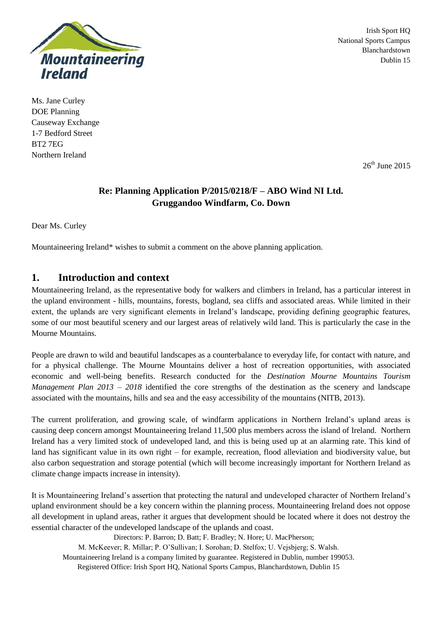

Irish Sport HQ National Sports Campus Blanchardstown Dublin 15

Ms. Jane Curley DOE Planning Causeway Exchange 1-7 Bedford Street BT2 7EG Northern Ireland

 $26<sup>th</sup>$  June 2015

## **Re: Planning Application P/2015/0218/F – ABO Wind NI Ltd. Gruggandoo Windfarm, Co. Down**

Dear Ms. Curley

Mountaineering Ireland\* wishes to submit a comment on the above planning application.

## **1. Introduction and context**

Mountaineering Ireland, as the representative body for walkers and climbers in Ireland, has a particular interest in the upland environment - hills, mountains, forests, bogland, sea cliffs and associated areas. While limited in their extent, the uplands are very significant elements in Ireland's landscape, providing defining geographic features, some of our most beautiful scenery and our largest areas of relatively wild land. This is particularly the case in the Mourne Mountains.

People are drawn to wild and beautiful landscapes as a counterbalance to everyday life, for contact with nature, and for a physical challenge. The Mourne Mountains deliver a host of recreation opportunities, with associated economic and well-being benefits. Research conducted for the *Destination Mourne Mountains Tourism Management Plan 2013 – 2018* identified the core strengths of the destination as the scenery and landscape associated with the mountains, hills and sea and the easy accessibility of the mountains (NITB, 2013).

The current proliferation, and growing scale, of windfarm applications in Northern Ireland's upland areas is causing deep concern amongst Mountaineering Ireland 11,500 plus members across the island of Ireland. Northern Ireland has a very limited stock of undeveloped land, and this is being used up at an alarming rate. This kind of land has significant value in its own right – for example, recreation, flood alleviation and biodiversity value, but also carbon sequestration and storage potential (which will become increasingly important for Northern Ireland as climate change impacts increase in intensity).

It is Mountaineering Ireland's assertion that protecting the natural and undeveloped character of Northern Ireland's upland environment should be a key concern within the planning process. Mountaineering Ireland does not oppose all development in upland areas, rather it argues that development should be located where it does not destroy the essential character of the undeveloped landscape of the uplands and coast.

Directors: P. Barron; D. Batt; F. Bradley; N. Hore; U. MacPherson;

M. McKeever; R. Millar; P. O'Sullivan; I. Sorohan; D. Stelfox; U. Vejsbjerg; S. Walsh.

Mountaineering Ireland is a company limited by guarantee. Registered in Dublin, number 199053.

Registered Office: Irish Sport HQ, National Sports Campus, Blanchardstown, Dublin 15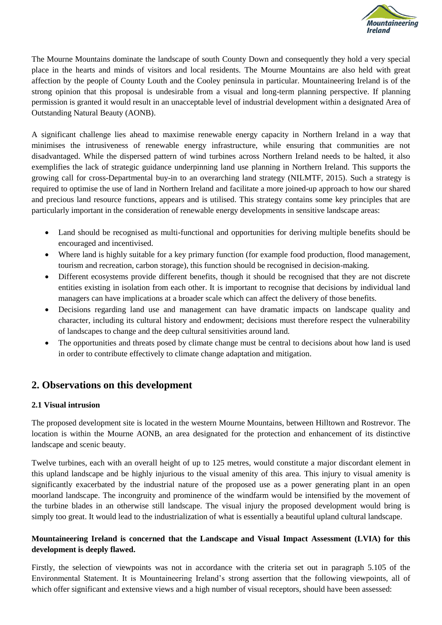

The Mourne Mountains dominate the landscape of south County Down and consequently they hold a very special place in the hearts and minds of visitors and local residents. The Mourne Mountains are also held with great affection by the people of County Louth and the Cooley peninsula in particular. Mountaineering Ireland is of the strong opinion that this proposal is undesirable from a visual and long-term planning perspective. If planning permission is granted it would result in an unacceptable level of industrial development within a designated Area of Outstanding Natural Beauty (AONB).

A significant challenge lies ahead to maximise renewable energy capacity in Northern Ireland in a way that minimises the intrusiveness of renewable energy infrastructure, while ensuring that communities are not disadvantaged. While the dispersed pattern of wind turbines across Northern Ireland needs to be halted, it also exemplifies the lack of strategic guidance underpinning land use planning in Northern Ireland. This supports the growing call for cross-Departmental buy-in to an overarching land strategy (NILMTF, 2015). Such a strategy is required to optimise the use of land in Northern Ireland and facilitate a more joined-up approach to how our shared and precious land resource functions, appears and is utilised. This strategy contains some key principles that are particularly important in the consideration of renewable energy developments in sensitive landscape areas:

- Land should be recognised as multi-functional and opportunities for deriving multiple benefits should be encouraged and incentivised.
- Where land is highly suitable for a key primary function (for example food production, flood management, tourism and recreation, carbon storage), this function should be recognised in decision-making.
- Different ecosystems provide different benefits, though it should be recognised that they are not discrete entities existing in isolation from each other. It is important to recognise that decisions by individual land managers can have implications at a broader scale which can affect the delivery of those benefits.
- Decisions regarding land use and management can have dramatic impacts on landscape quality and character, including its cultural history and endowment; decisions must therefore respect the vulnerability of landscapes to change and the deep cultural sensitivities around land.
- The opportunities and threats posed by climate change must be central to decisions about how land is used in order to contribute effectively to climate change adaptation and mitigation.

# **2. Observations on this development**

### **2.1 Visual intrusion**

The proposed development site is located in the western Mourne Mountains, between Hilltown and Rostrevor. The location is within the Mourne AONB, an area designated for the protection and enhancement of its distinctive landscape and scenic beauty.

Twelve turbines, each with an overall height of up to 125 metres, would constitute a major discordant element in this upland landscape and be highly injurious to the visual amenity of this area. This injury to visual amenity is significantly exacerbated by the industrial nature of the proposed use as a power generating plant in an open moorland landscape. The incongruity and prominence of the windfarm would be intensified by the movement of the turbine blades in an otherwise still landscape. The visual injury the proposed development would bring is simply too great. It would lead to the industrialization of what is essentially a beautiful upland cultural landscape.

### **Mountaineering Ireland is concerned that the Landscape and Visual Impact Assessment (LVIA) for this development is deeply flawed.**

Firstly, the selection of viewpoints was not in accordance with the criteria set out in paragraph 5.105 of the Environmental Statement. It is Mountaineering Ireland's strong assertion that the following viewpoints, all of which offer significant and extensive views and a high number of visual receptors, should have been assessed: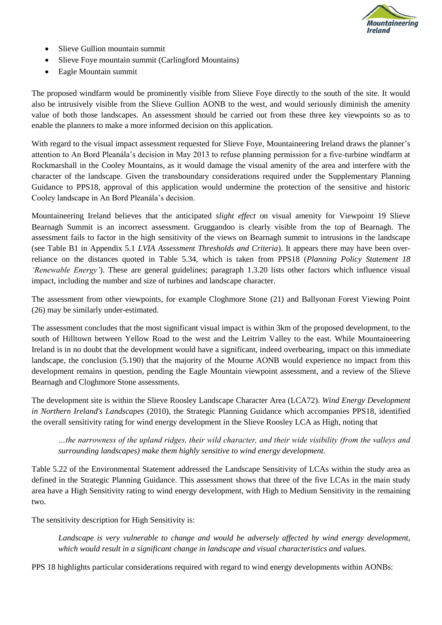

- Slieve Gullion mountain summit
- Slieve Foye mountain summit (Carlingford Mountains)
- Eagle Mountain summit

The proposed windfarm would be prominently visible from Slieve Foye directly to the south of the site. It would also be intrusively visible from the Slieve Gullion AONB to the west, and would seriously diminish the amenity value of both those landscapes. An assessment should be carried out from these three key viewpoints so as to enable the planners to make a more informed decision on this application.

With regard to the visual impact assessment requested for Slieve Foye, Mountaineering Ireland draws the planner's attention to An Bord Pleanála's decision in May 2013 to refuse planning permission for a five-turbine windfarm at Rockmarshall in the Cooley Mountains, as it would damage the visual amenity of the area and interfere with the character of the landscape. Given the transboundary considerations required under the Supplementary Planning Guidance to PPS18, approval of this application would undermine the protection of the sensitive and historic Cooley landscape in An Bord Pleanála's decision.

Mountaineering Ireland believes that the anticipated *slight effect* on visual amenity for Viewpoint 19 Slieve Bearnagh Summit is an incorrect assessment. Gruggandoo is clearly visible from the top of Bearnagh. The assessment fails to factor in the high sensitivity of the views on Bearnagh summit to intrusions in the landscape (see Table B1 in Appendix 5.1 *LVIA Assessment Thresholds and Criteria*). It appears there may have been overreliance on the distances quoted in Table 5.34, which is taken from PPS18 (*Planning Policy Statement 18 'Renewable Energy'*). These are general guidelines; paragraph 1.3.20 lists other factors which influence visual impact, including the number and size of turbines and landscape character.

The assessment from other viewpoints, for example Cloghmore Stone (21) and Ballyonan Forest Viewing Point (26) may be similarly under-estimated.

The assessment concludes that the most significant visual impact is within 3km of the proposed development, to the south of Hilltown between Yellow Road to the west and the Leitrim Valley to the east. While Mountaineering Ireland is in no doubt that the development would have a significant, indeed overbearing, impact on this immediate landscape, the conclusion (5.190) that the majority of the Mourne AONB would experience no impact from this development remains in question, pending the Eagle Mountain viewpoint assessment, and a review of the Slieve Bearnagh and Cloghmore Stone assessments.

The development site is within the Slieve Roosley Landscape Character Area (LCA72). *Wind Energy Development in Northern Ireland's Landscapes* (2010), the Strategic Planning Guidance which accompanies PPS18, identified the overall sensitivity rating for wind energy development in the Slieve Roosley LCA as High, noting that

*…the narrowness of the upland ridges, their wild character, and their wide visibility (from the valleys and surrounding landscapes) make them highly sensitive to wind energy development.* 

Table 5.22 of the Environmental Statement addressed the Landscape Sensitivity of LCAs within the study area as defined in the Strategic Planning Guidance. This assessment shows that three of the five LCAs in the main study area have a High Sensitivity rating to wind energy development, with High to Medium Sensitivity in the remaining two.

The sensitivity description for High Sensitivity is:

Landscape is very vulnerable to change and would be adversely affected by wind energy development, *which would result in a significant change in landscape and visual characteristics and values.*

PPS 18 highlights particular considerations required with regard to wind energy developments within AONBs: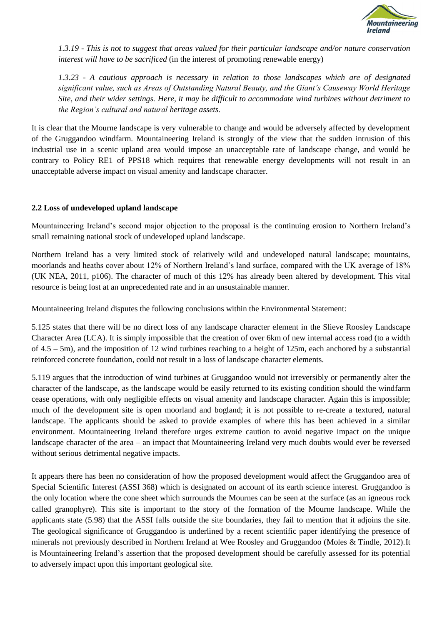

*1.3.19 - This is not to suggest that areas valued for their particular landscape and/or nature conservation interest will have to be sacrificed* (in the interest of promoting renewable energy)

*1.3.23* - *A cautious approach is necessary in relation to those landscapes which are of designated significant value, such as Areas of Outstanding Natural Beauty, and the Giant's Causeway World Heritage Site, and their wider settings. Here, it may be difficult to accommodate wind turbines without detriment to the Region's cultural and natural heritage assets.*

It is clear that the Mourne landscape is very vulnerable to change and would be adversely affected by development of the Gruggandoo windfarm. Mountaineering Ireland is strongly of the view that the sudden intrusion of this industrial use in a scenic upland area would impose an unacceptable rate of landscape change, and would be contrary to Policy RE1 of PPS18 which requires that renewable energy developments will not result in an unacceptable adverse impact on visual amenity and landscape character.

#### **2.2 Loss of undeveloped upland landscape**

Mountaineering Ireland's second major objection to the proposal is the continuing erosion to Northern Ireland's small remaining national stock of undeveloped upland landscape.

Northern Ireland has a very limited stock of relatively wild and undeveloped natural landscape; mountains, moorlands and heaths cover about 12% of Northern Ireland's land surface, compared with the UK average of 18% (UK NEA, 2011, p106). The character of much of this 12% has already been altered by development. This vital resource is being lost at an unprecedented rate and in an unsustainable manner.

Mountaineering Ireland disputes the following conclusions within the Environmental Statement:

5.125 states that there will be no direct loss of any landscape character element in the Slieve Roosley Landscape Character Area (LCA). It is simply impossible that the creation of over 6km of new internal access road (to a width of  $4.5 - 5$ m), and the imposition of 12 wind turbines reaching to a height of 125m, each anchored by a substantial reinforced concrete foundation, could not result in a loss of landscape character elements.

5.119 argues that the introduction of wind turbines at Gruggandoo would not irreversibly or permanently alter the character of the landscape, as the landscape would be easily returned to its existing condition should the windfarm cease operations, with only negligible effects on visual amenity and landscape character. Again this is impossible; much of the development site is open moorland and bogland; it is not possible to re-create a textured, natural landscape. The applicants should be asked to provide examples of where this has been achieved in a similar environment. Mountaineering Ireland therefore urges extreme caution to avoid negative impact on the unique landscape character of the area – an impact that Mountaineering Ireland very much doubts would ever be reversed without serious detrimental negative impacts.

It appears there has been no consideration of how the proposed development would affect the Gruggandoo area of Special Scientific Interest (ASSI 368) which is designated on account of its earth science interest. Gruggandoo is the only location where the cone sheet which surrounds the Mournes can be seen at the surface (as an igneous rock called granophyre). This site is important to the story of the formation of the Mourne landscape. While the applicants state (5.98) that the ASSI falls outside the site boundaries, they fail to mention that it adjoins the site. The geological significance of Gruggandoo is underlined by a recent scientific paper identifying the presence of minerals not previously described in Northern Ireland at Wee Roosley and Gruggandoo (Moles & Tindle, 2012).It is Mountaineering Ireland's assertion that the proposed development should be carefully assessed for its potential to adversely impact upon this important geological site.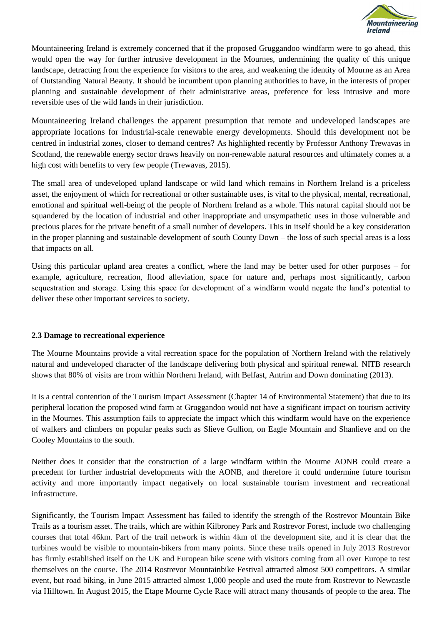

Mountaineering Ireland is extremely concerned that if the proposed Gruggandoo windfarm were to go ahead, this would open the way for further intrusive development in the Mournes, undermining the quality of this unique landscape, detracting from the experience for visitors to the area, and weakening the identity of Mourne as an Area of Outstanding Natural Beauty. It should be incumbent upon planning authorities to have, in the interests of proper planning and sustainable development of their administrative areas, preference for less intrusive and more reversible uses of the wild lands in their jurisdiction.

Mountaineering Ireland challenges the apparent presumption that remote and undeveloped landscapes are appropriate locations for industrial-scale renewable energy developments. Should this development not be centred in industrial zones, closer to demand centres? As highlighted recently by Professor Anthony Trewavas in Scotland, the renewable energy sector draws heavily on non-renewable natural resources and ultimately comes at a high cost with benefits to very few people (Trewavas, 2015).

The small area of undeveloped upland landscape or wild land which remains in Northern Ireland is a priceless asset, the enjoyment of which for recreational or other sustainable uses, is vital to the physical, mental, recreational, emotional and spiritual well-being of the people of Northern Ireland as a whole. This natural capital should not be squandered by the location of industrial and other inappropriate and unsympathetic uses in those vulnerable and precious places for the private benefit of a small number of developers. This in itself should be a key consideration in the proper planning and sustainable development of south County Down – the loss of such special areas is a loss that impacts on all.

Using this particular upland area creates a conflict, where the land may be better used for other purposes – for example, agriculture, recreation, flood alleviation, space for nature and, perhaps most significantly, carbon sequestration and storage. Using this space for development of a windfarm would negate the land's potential to deliver these other important services to society.

### **2.3 Damage to recreational experience**

The Mourne Mountains provide a vital recreation space for the population of Northern Ireland with the relatively natural and undeveloped character of the landscape delivering both physical and spiritual renewal. NITB research shows that 80% of visits are from within Northern Ireland, with Belfast, Antrim and Down dominating (2013).

It is a central contention of the Tourism Impact Assessment (Chapter 14 of Environmental Statement) that due to its peripheral location the proposed wind farm at Gruggandoo would not have a significant impact on tourism activity in the Mournes. This assumption fails to appreciate the impact which this windfarm would have on the experience of walkers and climbers on popular peaks such as Slieve Gullion, on Eagle Mountain and Shanlieve and on the Cooley Mountains to the south.

Neither does it consider that the construction of a large windfarm within the Mourne AONB could create a precedent for further industrial developments with the AONB, and therefore it could undermine future tourism activity and more importantly impact negatively on local sustainable tourism investment and recreational infrastructure.

Significantly, the Tourism Impact Assessment has failed to identify the strength of the Rostrevor Mountain Bike Trails as a tourism asset. The trails, which are within Kilbroney Park and Rostrevor Forest, include two challenging courses that total 46km. Part of the trail network is within 4km of the development site, and it is clear that the turbines would be visible to mountain-bikers from many points. Since these trails opened in July 2013 Rostrevor has firmly established itself on the UK and European bike scene with visitors coming from all over Europe to test themselves on the course. The 2014 Rostrevor Mountainbike Festival attracted almost 500 competitors. A similar event, but road biking, in June 2015 attracted almost 1,000 people and used the route from Rostrevor to Newcastle via Hilltown. In August 2015, the Etape Mourne Cycle Race will attract many thousands of people to the area. The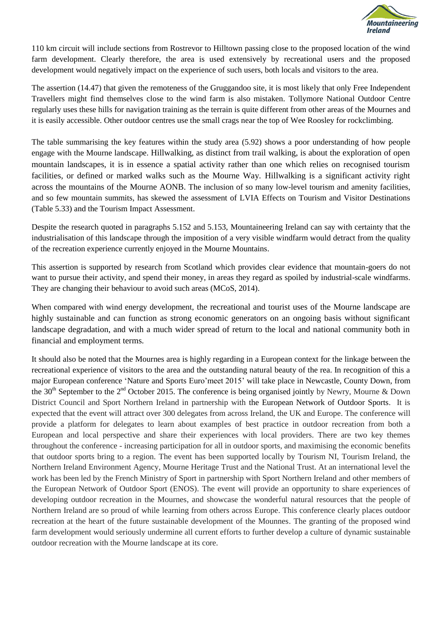

110 km circuit will include sections from Rostrevor to Hilltown passing close to the proposed location of the wind farm development. Clearly therefore, the area is used extensively by recreational users and the proposed development would negatively impact on the experience of such users, both locals and visitors to the area.

The assertion (14.47) that given the remoteness of the Gruggandoo site, it is most likely that only Free Independent Travellers might find themselves close to the wind farm is also mistaken. Tollymore National Outdoor Centre regularly uses these hills for navigation training as the terrain is quite different from other areas of the Mournes and it is easily accessible. Other outdoor centres use the small crags near the top of Wee Roosley for rockclimbing.

The table summarising the key features within the study area (5.92) shows a poor understanding of how people engage with the Mourne landscape. Hillwalking, as distinct from trail walking, is about the exploration of open mountain landscapes, it is in essence a spatial activity rather than one which relies on recognised tourism facilities, or defined or marked walks such as the Mourne Way. Hillwalking is a significant activity right across the mountains of the Mourne AONB. The inclusion of so many low-level tourism and amenity facilities, and so few mountain summits, has skewed the assessment of LVIA Effects on Tourism and Visitor Destinations (Table 5.33) and the Tourism Impact Assessment.

Despite the research quoted in paragraphs 5.152 and 5.153, Mountaineering Ireland can say with certainty that the industrialisation of this landscape through the imposition of a very visible windfarm would detract from the quality of the recreation experience currently enjoyed in the Mourne Mountains.

This assertion is supported by research from Scotland which provides clear evidence that mountain-goers do not want to pursue their activity, and spend their money, in areas they regard as spoiled by industrial-scale windfarms. They are changing their behaviour to avoid such areas (MCoS, 2014).

When compared with wind energy development, the recreational and tourist uses of the Mourne landscape are highly sustainable and can function as strong economic generators on an ongoing basis without significant landscape degradation, and with a much wider spread of return to the local and national community both in financial and employment terms.

It should also be noted that the Mournes area is highly regarding in a European context for the linkage between the recreational experience of visitors to the area and the outstanding natural beauty of the rea. In recognition of this a major European conference 'Nature and Sports Euro'meet 2015' will take place in Newcastle, County Down, from the 30<sup>th</sup> September to the 2<sup>nd</sup> October 2015. The conference is being organised jointly by Newry, Mourne & Down District Council and Sport Northern Ireland in partnership with the [European Network of Outdoor Sports.](http://www.nature-sports.eu/) It is expected that the event will attract over 300 delegates from across Ireland, the UK and Europe. The conference will provide a platform for delegates to learn about examples of best practice in outdoor recreation from both a European and local perspective and share their experiences with local providers. There are two key themes throughout the conference - increasing participation for all in outdoor sports, and maximising the economic benefits that outdoor sports bring to a region. The event has been supported locally by Tourism NI, Tourism Ireland, the Northern Ireland Environment Agency, Mourne Heritage Trust and the National Trust. At an international level the work has been led by the French Ministry of Sport in partnership with Sport Northern Ireland and other members of the European Network of Outdoor Sport (ENOS). The event will provide an opportunity to share experiences of developing outdoor recreation in the Mournes, and showcase the wonderful natural resources that the people of Northern Ireland are so proud of while learning from others across Europe. This conference clearly places outdoor recreation at the heart of the future sustainable development of the Mounnes. The granting of the proposed wind farm development would seriously undermine all current efforts to further develop a culture of dynamic sustainable outdoor recreation with the Mourne landscape at its core.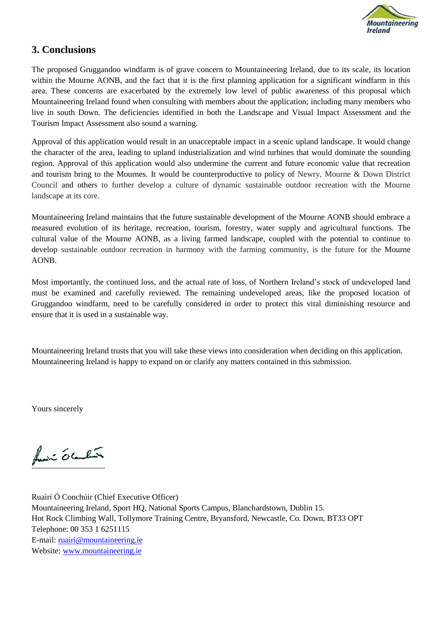

# **3. Conclusions**

The proposed Gruggandoo windfarm is of grave concern to Mountaineering Ireland, due to its scale, its location within the Mourne AONB, and the fact that it is the first planning application for a significant windfarm in this area. These concerns are exacerbated by the extremely low level of public awareness of this proposal which Mountaineering Ireland found when consulting with members about the application; including many members who live in south Down. The deficiencies identified in both the Landscape and Visual Impact Assessment and the Tourism Impact Assessment also sound a warning.

Approval of this application would result in an unacceptable impact in a scenic upland landscape. It would change the character of the area, leading to upland industrialization and wind turbines that would dominate the sounding region. Approval of this application would also undermine the current and future economic value that recreation and tourism bring to the Mournes. It would be counterproductive to policy of Newry, Mourne & Down District Council and others to further develop a culture of dynamic sustainable outdoor recreation with the Mourne landscape at its core.

Mountaineering Ireland maintains that the future sustainable development of the Mourne AONB should embrace a measured evolution of its heritage, recreation, tourism, forestry, water supply and agricultural functions. The cultural value of the Mourne AONB, as a living farmed landscape, coupled with the potential to continue to develop sustainable outdoor recreation in harmony with the farming community, is the future for the Mourne AONB.

Most importantly, the continued loss, and the actual rate of loss, of Northern Ireland's stock of undeveloped land must be examined and carefully reviewed. The remaining undeveloped areas, like the proposed location of Gruggandoo windfarm, need to be carefully considered in order to protect this vital diminishing resource and ensure that it is used in a sustainable way.

Mountaineering Ireland trusts that you will take these views into consideration when deciding on this application. Mountaineering Ireland is happy to expand on or clarify any matters contained in this submission.

Yours sincerely

funcion ob Conclusion

Ruairí Ó Conchúir (Chief Executive Officer) Mountaineering Ireland, Sport HQ, National Sports Campus, Blanchardstown, Dublin 15. Hot Rock Climbing Wall, Tollymore Training Centre, Bryansford, Newcastle, Co. Down, BT33 OPT Telephone: 00 353 1 6251115 E-mail: [ruairi@mountaineering.ie](mailto:ruairi@mountaineering.ie) Website: [www.mountaineering.ie](http://www.mountaineering.ie/)